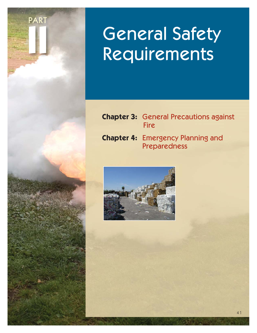

# General Safety Requirements

- **Chapter 3:** General Precautions against **Fire**
- **Chapter 4:** Emergency Planning and Preparedness

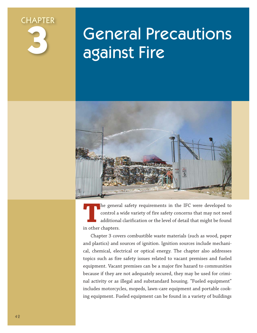

# General Precautions against Fire



The general safety requirements in the IFC were developed to control a wide variety of fire safety concerns that may not need additional clarification or the level of detail that might be found in other chanters control a wide variety of fire safety concerns that may not need additional clarification or the level of detail that might be found in other chapters.

Chapter 3 covers combustible waste materials (such as wood, paper and plastics) and sources of ignition. Ignition sources include mechanical, chemical, electrical or optical energy. The chapter also addresses topics such as fire safety issues related to vacant premises and fueled equipment. Vacant premises can be a major fire hazard to communities because if they are not adequately secured, they may be used for criminal activity or as illegal and substandard housing. "Fueled equipment" includes motorcycles, mopeds, lawn-care equipment and portable cooking equipment. Fueled equipment can be found in a variety of buildings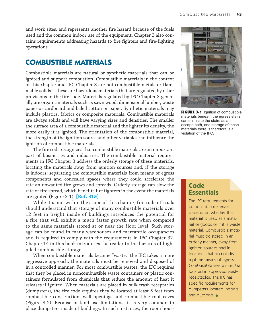and work sites, and represents another fire hazard because of the fuels used and the common indoor use of the equipment. Chapter 3 also contains requirements addressing hazards to fire fighters and fire-fighting operations.

#### **COMBUSTIBLE MATERIALS**

Combustible materials are natural or synthetic materials that can be ignited and support combustion. Combustible materials in the context of this chapter and IFC Chapter 3 are not combustible metals or flammable solids—these are hazardous materials that are regulated by other provisions in the fire code. Materials regulated by IFC Chapter 3 generally are organic materials such as sawn wood, dimensional lumber, waste paper or cardboard and baled cotton or paper. Synthetic materials may include plastics, fabrics or composite materials. Combustible materials are always solids and will have varying sizes and densities. The smaller the surface area of a combustible material and the lighter its density, the more easily it is ignited. The orientation of the combustible material, the strength of the ignition source and other variables can influence the ignition of combustible materials.

The fire code recognizes that combustible materials are an important part of businesses and industries. The combustible material requirements in IFC Chapter 3 address the orderly storage of these materials, locating the materials away from ignition sources and, if the storage is indoors, separating the combustible materials from means of egress components and concealed spaces where they could accelerate the rate an unwanted fire grows and spreads. Orderly storage can slow the rate of fire spread, which benefits fire fighters in the event the materials are ignited (Figure 3-1). **[Ref. 315]**

While it is not within the scope of this chapter, fire code officials should understand that storage of many combustible materials over 12 feet in height inside of buildings introduces the potential for a fire that will exhibit a much faster growth rate when compared to the same materials stored at or near the floor level. Such storage can be found in many warehouses and mercantile occupancies and is required to comply with the requirements in IFC Chapter 32. Chapter 14 in this book introduces the reader to the hazards of highpiled combustible storage.

When combustible materials become "waste," the IFC takes a more aggressive approach: the materials must be removed and disposed of in a controlled manner. For most combustible wastes, the IFC requires that they be placed in noncombustible waste containers or plastic containers formulated from chemicals that reduce the amount of heat it releases if ignited. When materials are placed in bulk trash receptacles (dumpsters), the fire code requires they be located at least 5 feet from combustible construction, wall openings and combustible roof eaves (Figure 3-2). Because of land use limitations, it is very common to place dumpsters inside of buildings. In such instances, the room hous-



**FIGURE 3-1** Ignition of combustible materials beneath the egress stairs can eliminate the stairs as an escape path, and storage of these materials there is therefore is a violation of the IFC.

#### **Code Essentials**

The IFC requirements for combustible materials depend on whether the material is used as a material or goods or if it is waste material. Combustible material must be stored in an orderly manner, away from ignition sources and in locations that do not disrupt the means of egress. Combustible waste must be located in approved waste receptacles. The IFC has specific requirements for dumpsters located indoors and outdoors.  $\bullet$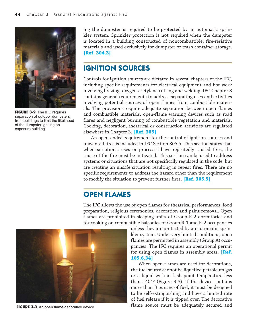

FIGURE 3-2 The IFC requires separation of outdoor dumpsters from buildings to limit the likelihood of the dumpster igniting an exposure building.

ing the dumpster is required to be protected by an automatic sprinkler system. Sprinkler protection is not required when the dumpster is located in a building constructed of noncombustible, fire-resistive materials and used exclusively for dumpster or trash container storage. **[Ref. 304.3]**

# **IGNITION SOURCES**

Controls for ignition sources are dictated in several chapters of the IFC, including specific requirements for electrical equipment and hot work involving brazing, oxygen-acetylene cutting and welding. IFC Chapter 3 contains general requirements to address separating uses and activities involving potential sources of open flames from combustible materials. The provisions require adequate separation between open flames and combustible materials, open-flame warning devices such as road flares and negligent burning of combustible vegetation and materials. Cooking, decoration, theatrical or construction activities are regulated elsewhere in Chapter 3. **[Ref. 305]**

An open-ended requirement for the control of ignition sources and unwanted fires is included in IFC Section 305.5. This section states that when situations, uses or processes have repeatedly caused fires, the cause of the fire must be mitigated. This section can be used to address systems or situations that are not specifically regulated in the code, but are creating an unsafe situation resulting in repeat fires. There are no specific requirements to address the hazard other than the requirement to modify the situation to prevent further fires. **[Ref. 305.5]**

## **OPEN FLAMES**

The IFC allows the use of open flames for theatrical performances, food preparation, religious ceremonies, decoration and paint removal. Open flames are prohibited in sleeping units of Group R-2 dormitories and for cooking on combustible balconies of Group R-1 and R-2 occupancies



unless they are protected by an automatic sprinkler system. Under very limited conditions, open flames are permitted in assembly (Group A) occupancies. The IFC requires an operational permit for using open flames in assembly areas. **[Ref. 105.6.34]**

When open flames are used for decorations, the fuel source cannot be liquefied petroleum gas or a liquid with a flash point temperature less than 140°F (Figure 3-3). If the device contains more than 8 ounces of fuel, it must be designed to be self-extinguishing and have a limited rate of fuel release if it is tipped over. The decorative **FIGURE 3-3** An open flame decorative device **Figure 10 CM** flame source must be adequately secured and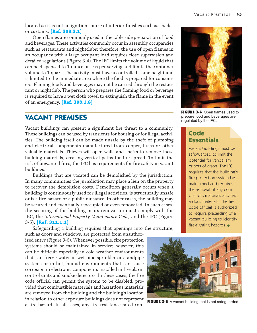located so it is not an ignition source of interior finishes such as shades or curtains. **[Ref. 308.3.1]**

Open flames are commonly used in the table side preparation of food and beverages. These activities commonly occur in assembly occupancies such as restaurants and nightclubs; therefore, the use of open flames in an occupancy with a large occupant load requires close supervision and detailed regulations (Figure 3-4). The IFC limits the volume of liquid that can be dispensed to 1 ounce or less per serving and limits the container volume to 1 quart. The activity must have a controlled flame height and is limited to the immediate area where the food is prepared for consumers. Flaming foods and beverages may not be carried through the restaurant or nightclub. The person who prepares the flaming food or beverage is required to have a wet cloth towel to extinguish the flame in the event of an emergency. **[Ref. 308.1.8]**

#### **VACANT PREMISES**

Vacant buildings can present a significant fire threat to a community. These buildings can be used by transients for housing or for illegal activities. The building itself can be made unsafe by the theft of plumbing and electrical components manufactured from copper, brass or other valuable materials. Thieves will open walls and shafts to remove these building materials, creating vertical paths for fire spread. To limit the risk of unwanted fires, the IFC has requirements for fire safety in vacant buildings.

Buildings that are vacated can be demolished by the jurisdiction. In many communities the jurisdiction may place a lien on the property to recover the demolition costs. Demolition generally occurs when a building is continuously used for illegal activities, is structurally unsafe or is a fire hazard or a public nuisance. In other cases, the building may be secured and eventually reoccupied or even renovated. In such cases, the securing of the building or its renovation must comply with the IBC, the *International Property Maintenance Code,* and the IFC (Figure 3-5). **[Ref. 311.1.1]**

Safeguarding a building requires that openings into the structure, such as doors and windows, are protected from unauthor-

ized entry (Figure 3-6). Whenever possible, fire protection systems should be maintained in service; however, this can be difficult especially in cold weather environments that can freeze water in wet-pipe sprinkler or standpipe systems or in hot, humid environments that can cause corrosion in electronic components installed in fire alarm control units and smoke detectors. In these cases, the fire code official can permit the system to be disabled, provided that combustible materials and hazardous materials are removed from the building and the building's location in relation to other exposure buildings does not represent a fire hazard. In all cases, any fire-resistance-rated con-



FIGURE 3-4 Open flames used to prepare food and beverages are regulated by the IFC.

#### **Code Essentials**

Vacant buildings must be safeguarded to limit the potential for vandalism or acts of arson. The IFC requires that the building's fire protection system be maintained and requires the removal of any combustible materials and hazardous materials. The fire code official is authorized to require placarding of a vacant building to identify fire-fighting hazards.  $\bullet$ 



FIGURE 3-5 A vacant building that is not safeguarded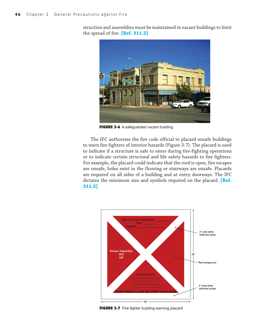struction and assemblies must be maintained in vacant buildings to limit the spread of fire. **[Ref. 311.2]**



FIGURE 3-6 A safeguarded vacant building

The IFC authorizes the fire code official to placard unsafe buildings to warn fire fighters of interior hazards (Figure 3-7). The placard is used to indicate if a structure is safe to enter during fire-fighting operations or to indicate certain structural and life safety hazards to fire fighters. For example, the placard could indicate that the roof is open, fire escapes are unsafe, holes exist in the flooring or stairways are unsafe. Placards are required on all sides of a building and at entry doorways. The IFC dictates the minimum size and symbols required on the placard. **[Ref. 311.5]**



FIGURE 3-7 Fire-fighter building warning placard